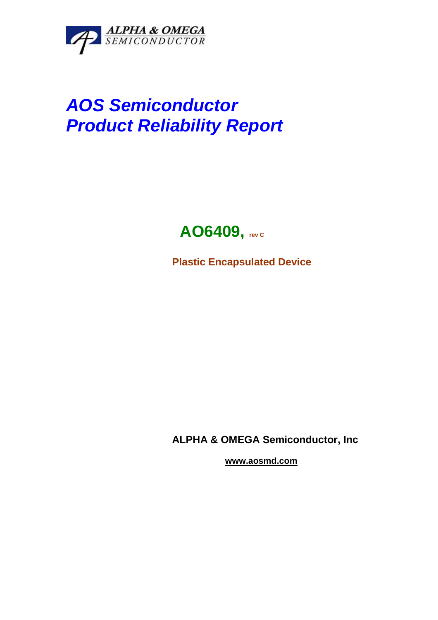

# **AOS Semiconductor Product Reliability Report**

# **AO6409, rev C**

**Plastic Encapsulated Device** 

**ALPHA & OMEGA Semiconductor, Inc** 

 **www.aosmd.com**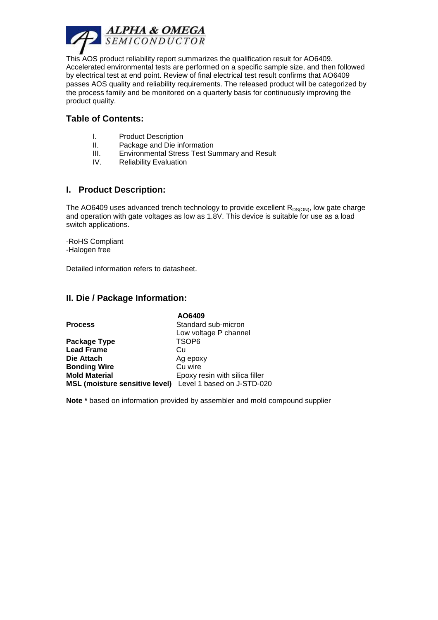

This AOS product reliability report summarizes the qualification result for AO6409. Accelerated environmental tests are performed on a specific sample size, and then followed by electrical test at end point. Review of final electrical test result confirms that AO6409 passes AOS quality and reliability requirements. The released product will be categorized by the process family and be monitored on a quarterly basis for continuously improving the product quality.

# **Table of Contents:**

- I. Product Description
- II. Package and Die information
- III. Environmental Stress Test Summary and Result
- IV. Reliability Evaluation

#### **I. Product Description:**

The AO6409 uses advanced trench technology to provide excellent  $R_{DS(ON)}$ , low gate charge and operation with gate voltages as low as 1.8V. This device is suitable for use as a load switch applications.

-RoHS Compliant -Halogen free

Detailed information refers to datasheet.

#### **II. Die / Package Information:**

|                                                           | AO6409                         |
|-----------------------------------------------------------|--------------------------------|
| <b>Process</b>                                            | Standard sub-micron            |
|                                                           | Low voltage P channel          |
| Package Type                                              | TSOP <sub>6</sub>              |
| <b>Lead Frame</b>                                         | Cu                             |
| Die Attach                                                | Ag epoxy                       |
| <b>Bonding Wire</b>                                       | Cu wire                        |
| <b>Mold Material</b>                                      | Epoxy resin with silica filler |
| MSL (moisture sensitive level) Level 1 based on J-STD-020 |                                |

**Note \*** based on information provided by assembler and mold compound supplier